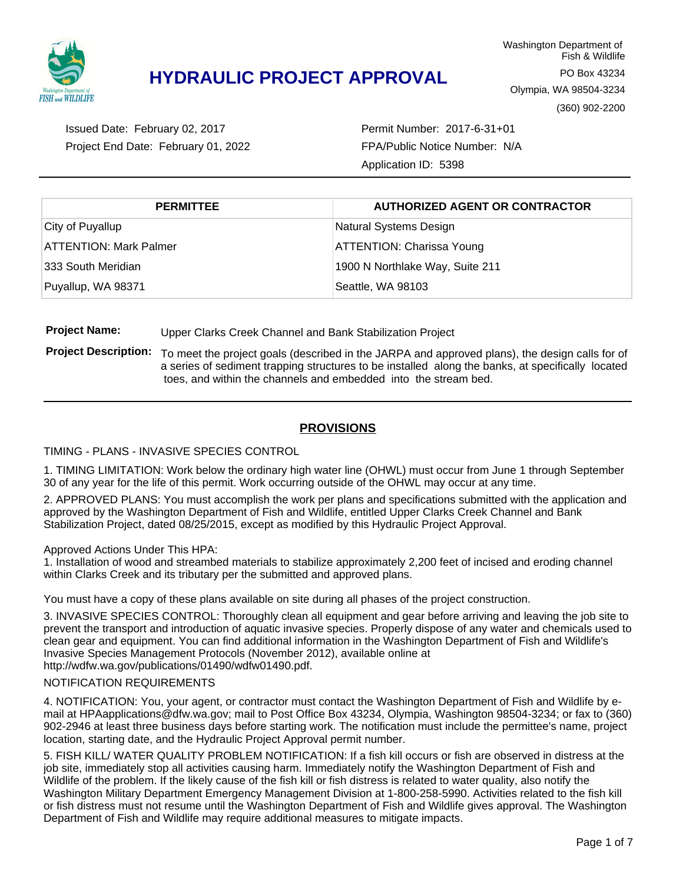

Project End Date: February 01, 2022 Issued Date: February 02, 2017

Permit Number: 2017-6-31+01 FPA/Public Notice Number: N/A Application ID: 5398

| <b>PERMITTEE</b>              | <b>AUTHORIZED AGENT OR CONTRACTOR</b> |  |  |
|-------------------------------|---------------------------------------|--|--|
| City of Puyallup              | Natural Systems Design                |  |  |
| <b>ATTENTION: Mark Palmer</b> | <b>ATTENTION: Charissa Young</b>      |  |  |
| 333 South Meridian            | 1900 N Northlake Way, Suite 211       |  |  |
| Puyallup, WA 98371            | Seattle, WA 98103                     |  |  |

**Project Name:** Upper Clarks Creek Channel and Bank Stabilization Project

**Project Description:** To meet the project goals (described in the JARPA and approved plans), the design calls for of a series of sediment trapping structures to be installed along the banks, at specifically located toes, and within the channels and embedded into the stream bed.

### **PROVISIONS**

#### TIMING - PLANS - INVASIVE SPECIES CONTROL

1. TIMING LIMITATION: Work below the ordinary high water line (OHWL) must occur from June 1 through September 30 of any year for the life of this permit. Work occurring outside of the OHWL may occur at any time.

2. APPROVED PLANS: You must accomplish the work per plans and specifications submitted with the application and approved by the Washington Department of Fish and Wildlife, entitled Upper Clarks Creek Channel and Bank Stabilization Project, dated 08/25/2015, except as modified by this Hydraulic Project Approval.

Approved Actions Under This HPA:

1. Installation of wood and streambed materials to stabilize approximately 2,200 feet of incised and eroding channel within Clarks Creek and its tributary per the submitted and approved plans.

You must have a copy of these plans available on site during all phases of the project construction.

3. INVASIVE SPECIES CONTROL: Thoroughly clean all equipment and gear before arriving and leaving the job site to prevent the transport and introduction of aquatic invasive species. Properly dispose of any water and chemicals used to clean gear and equipment. You can find additional information in the Washington Department of Fish and Wildlife's Invasive Species Management Protocols (November 2012), available online at http://wdfw.wa.gov/publications/01490/wdfw01490.pdf.

#### NOTIFICATION REQUIREMENTS

4. NOTIFICATION: You, your agent, or contractor must contact the Washington Department of Fish and Wildlife by email at HPAapplications@dfw.wa.gov; mail to Post Office Box 43234, Olympia, Washington 98504-3234; or fax to (360) 902-2946 at least three business days before starting work. The notification must include the permittee's name, project location, starting date, and the Hydraulic Project Approval permit number.

5. FISH KILL/ WATER QUALITY PROBLEM NOTIFICATION: If a fish kill occurs or fish are observed in distress at the job site, immediately stop all activities causing harm. Immediately notify the Washington Department of Fish and Wildlife of the problem. If the likely cause of the fish kill or fish distress is related to water quality, also notify the Washington Military Department Emergency Management Division at 1-800-258-5990. Activities related to the fish kill or fish distress must not resume until the Washington Department of Fish and Wildlife gives approval. The Washington Department of Fish and Wildlife may require additional measures to mitigate impacts.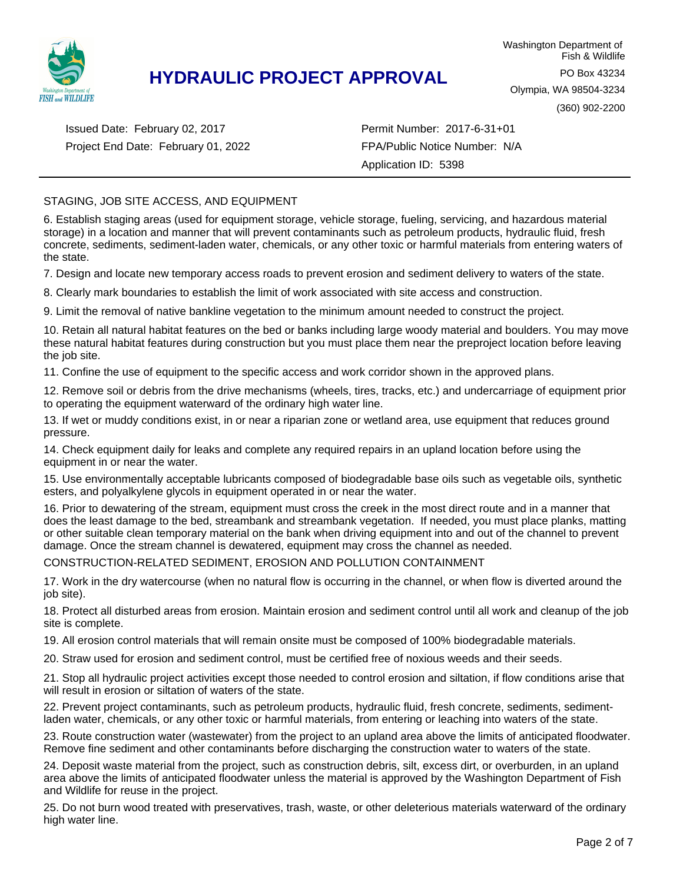

Project End Date: February 01, 2022 Issued Date: February 02, 2017

Permit Number: 2017-6-31+01 FPA/Public Notice Number: N/A Application ID: 5398

#### STAGING, JOB SITE ACCESS, AND EQUIPMENT

6. Establish staging areas (used for equipment storage, vehicle storage, fueling, servicing, and hazardous material storage) in a location and manner that will prevent contaminants such as petroleum products, hydraulic fluid, fresh concrete, sediments, sediment-laden water, chemicals, or any other toxic or harmful materials from entering waters of the state.

7. Design and locate new temporary access roads to prevent erosion and sediment delivery to waters of the state.

8. Clearly mark boundaries to establish the limit of work associated with site access and construction.

9. Limit the removal of native bankline vegetation to the minimum amount needed to construct the project.

10. Retain all natural habitat features on the bed or banks including large woody material and boulders. You may move these natural habitat features during construction but you must place them near the preproject location before leaving the job site.

11. Confine the use of equipment to the specific access and work corridor shown in the approved plans.

12. Remove soil or debris from the drive mechanisms (wheels, tires, tracks, etc.) and undercarriage of equipment prior to operating the equipment waterward of the ordinary high water line.

13. If wet or muddy conditions exist, in or near a riparian zone or wetland area, use equipment that reduces ground pressure.

14. Check equipment daily for leaks and complete any required repairs in an upland location before using the equipment in or near the water.

15. Use environmentally acceptable lubricants composed of biodegradable base oils such as vegetable oils, synthetic esters, and polyalkylene glycols in equipment operated in or near the water.

16. Prior to dewatering of the stream, equipment must cross the creek in the most direct route and in a manner that does the least damage to the bed, streambank and streambank vegetation. If needed, you must place planks, matting or other suitable clean temporary material on the bank when driving equipment into and out of the channel to prevent damage. Once the stream channel is dewatered, equipment may cross the channel as needed.

CONSTRUCTION-RELATED SEDIMENT, EROSION AND POLLUTION CONTAINMENT

17. Work in the dry watercourse (when no natural flow is occurring in the channel, or when flow is diverted around the job site).

18. Protect all disturbed areas from erosion. Maintain erosion and sediment control until all work and cleanup of the job site is complete.

19. All erosion control materials that will remain onsite must be composed of 100% biodegradable materials.

20. Straw used for erosion and sediment control, must be certified free of noxious weeds and their seeds.

21. Stop all hydraulic project activities except those needed to control erosion and siltation, if flow conditions arise that will result in erosion or siltation of waters of the state.

22. Prevent project contaminants, such as petroleum products, hydraulic fluid, fresh concrete, sediments, sedimentladen water, chemicals, or any other toxic or harmful materials, from entering or leaching into waters of the state.

23. Route construction water (wastewater) from the project to an upland area above the limits of anticipated floodwater. Remove fine sediment and other contaminants before discharging the construction water to waters of the state.

24. Deposit waste material from the project, such as construction debris, silt, excess dirt, or overburden, in an upland area above the limits of anticipated floodwater unless the material is approved by the Washington Department of Fish and Wildlife for reuse in the project.

25. Do not burn wood treated with preservatives, trash, waste, or other deleterious materials waterward of the ordinary high water line.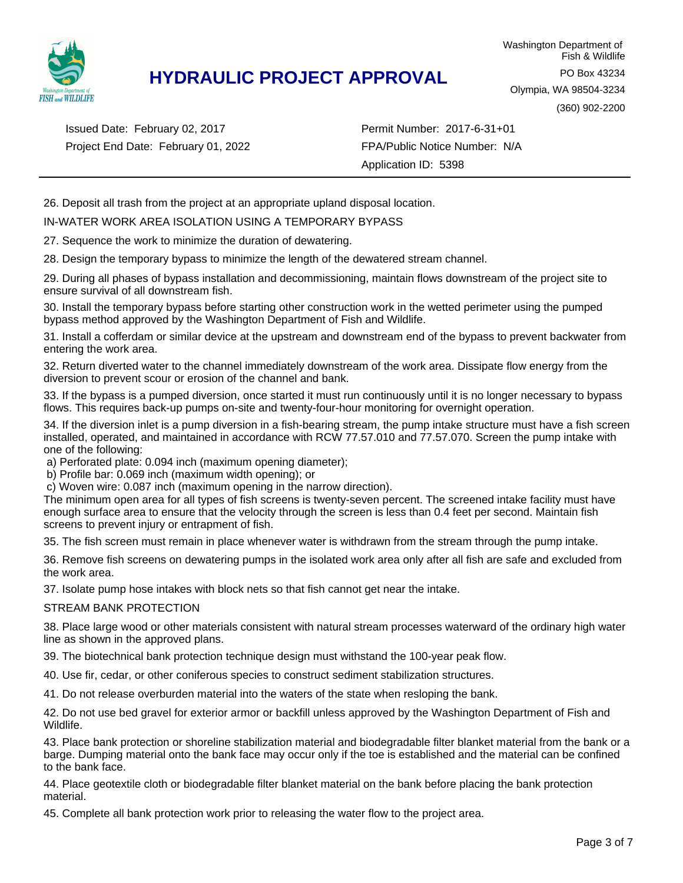

Project End Date: February 01, 2022 Issued Date: February 02, 2017

25. Do not burn wood treated with preservatives, trash, waste, or other deleterious materials waterward of the ordinary Permit Number: 2017-6-31+01 FPA/Public Notice Number: N/A Application ID: 5398

26. Deposit all trash from the project at an appropriate upland disposal location.

#### IN-WATER WORK AREA ISOLATION USING A TEMPORARY BYPASS

27. Sequence the work to minimize the duration of dewatering.

28. Design the temporary bypass to minimize the length of the dewatered stream channel.

29. During all phases of bypass installation and decommissioning, maintain flows downstream of the project site to ensure survival of all downstream fish.

30. Install the temporary bypass before starting other construction work in the wetted perimeter using the pumped bypass method approved by the Washington Department of Fish and Wildlife.

31. Install a cofferdam or similar device at the upstream and downstream end of the bypass to prevent backwater from entering the work area.

32. Return diverted water to the channel immediately downstream of the work area. Dissipate flow energy from the diversion to prevent scour or erosion of the channel and bank.

33. If the bypass is a pumped diversion, once started it must run continuously until it is no longer necessary to bypass flows. This requires back-up pumps on-site and twenty-four-hour monitoring for overnight operation.

34. If the diversion inlet is a pump diversion in a fish-bearing stream, the pump intake structure must have a fish screen installed, operated, and maintained in accordance with RCW 77.57.010 and 77.57.070. Screen the pump intake with one of the following:

a) Perforated plate: 0.094 inch (maximum opening diameter);

b) Profile bar: 0.069 inch (maximum width opening); or

c) Woven wire: 0.087 inch (maximum opening in the narrow direction).

The minimum open area for all types of fish screens is twenty-seven percent. The screened intake facility must have enough surface area to ensure that the velocity through the screen is less than 0.4 feet per second. Maintain fish screens to prevent injury or entrapment of fish.

35. The fish screen must remain in place whenever water is withdrawn from the stream through the pump intake.

36. Remove fish screens on dewatering pumps in the isolated work area only after all fish are safe and excluded from the work area.

37. Isolate pump hose intakes with block nets so that fish cannot get near the intake.

#### STREAM BANK PROTECTION

38. Place large wood or other materials consistent with natural stream processes waterward of the ordinary high water line as shown in the approved plans.

39. The biotechnical bank protection technique design must withstand the 100-year peak flow.

40. Use fir, cedar, or other coniferous species to construct sediment stabilization structures.

41. Do not release overburden material into the waters of the state when resloping the bank.

42. Do not use bed gravel for exterior armor or backfill unless approved by the Washington Department of Fish and Wildlife.

43. Place bank protection or shoreline stabilization material and biodegradable filter blanket material from the bank or a barge. Dumping material onto the bank face may occur only if the toe is established and the material can be confined to the bank face.

44. Place geotextile cloth or biodegradable filter blanket material on the bank before placing the bank protection material.

45. Complete all bank protection work prior to releasing the water flow to the project area.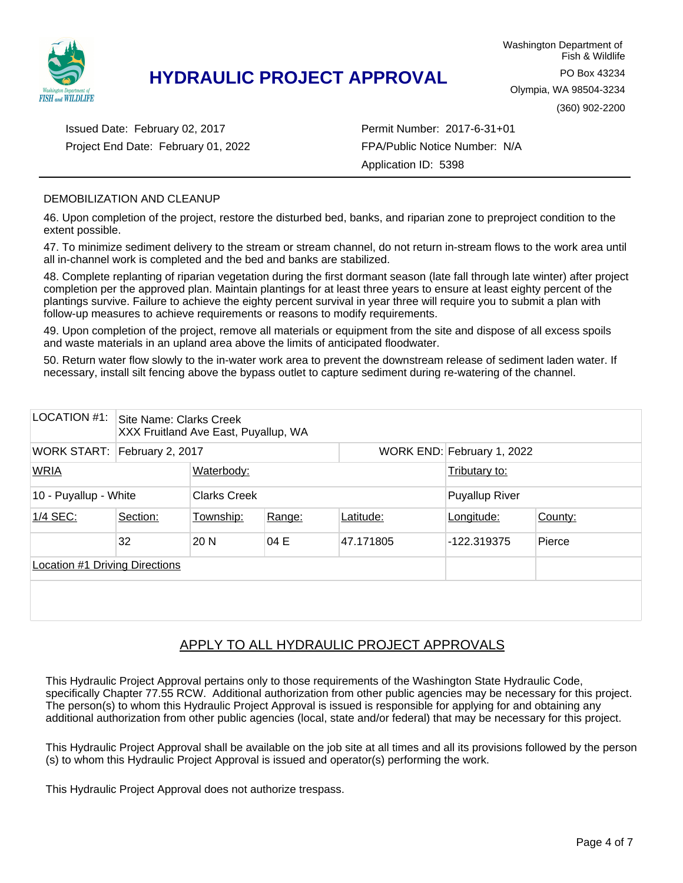

Project End Date: February 01, 2022 Issued Date: February 02, 2017

Permit Number: 2017-6-31+01 FPA/Public Notice Number: N/A Application ID: 5398

#### DEMOBILIZATION AND CLEANUP

46. Upon completion of the project, restore the disturbed bed, banks, and riparian zone to preproject condition to the extent possible.

47. To minimize sediment delivery to the stream or stream channel, do not return in-stream flows to the work area until all in-channel work is completed and the bed and banks are stabilized.

48. Complete replanting of riparian vegetation during the first dormant season (late fall through late winter) after project completion per the approved plan. Maintain plantings for at least three years to ensure at least eighty percent of the plantings survive. Failure to achieve the eighty percent survival in year three will require you to submit a plan with follow-up measures to achieve requirements or reasons to modify requirements.

49. Upon completion of the project, remove all materials or equipment from the site and dispose of all excess spoils and waste materials in an upland area above the limits of anticipated floodwater.

50. Return water flow slowly to the in-water work area to prevent the downstream release of sediment laden water. If necessary, install silt fencing above the bypass outlet to capture sediment during re-watering of the channel.

| LOCATION #1:                                 | Site Name: Clarks Creek<br>XXX Fruitland Ave East, Puyallup, WA |           |        |                       |                            |         |  |  |
|----------------------------------------------|-----------------------------------------------------------------|-----------|--------|-----------------------|----------------------------|---------|--|--|
|                                              | WORK START: February 2, 2017                                    |           |        |                       | WORK END: February 1, 2022 |         |  |  |
| <b>WRIA</b>                                  | Waterbody:                                                      |           |        |                       | Tributary to:              |         |  |  |
| 10 - Puyallup - White<br><b>Clarks Creek</b> |                                                                 |           |        | <b>Puyallup River</b> |                            |         |  |  |
| 1/4 SEC:                                     | Section:                                                        | Township: | Range: | Latitude:             | Longitude:                 | County: |  |  |
|                                              | 32                                                              | 20 N      | 04 E   | 47.171805             | -122.319375                | Pierce  |  |  |
| <b>Location #1 Driving Directions</b>        |                                                                 |           |        |                       |                            |         |  |  |
|                                              |                                                                 |           |        |                       |                            |         |  |  |

### APPLY TO ALL HYDRAULIC PROJECT APPROVALS

This Hydraulic Project Approval pertains only to those requirements of the Washington State Hydraulic Code, specifically Chapter 77.55 RCW. Additional authorization from other public agencies may be necessary for this project. The person(s) to whom this Hydraulic Project Approval is issued is responsible for applying for and obtaining any additional authorization from other public agencies (local, state and/or federal) that may be necessary for this project.

This Hydraulic Project Approval shall be available on the job site at all times and all its provisions followed by the person (s) to whom this Hydraulic Project Approval is issued and operator(s) performing the work.

This Hydraulic Project Approval does not authorize trespass.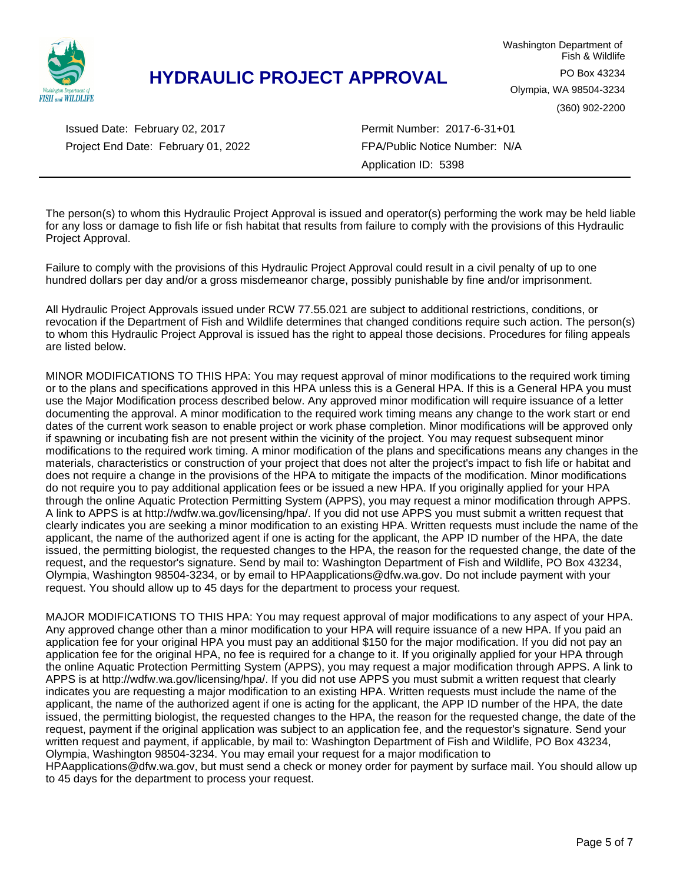

Project End Date: February 01, 2022 Issued Date: February 02, 2017

Permit Number: 2017-6-31+01 FPA/Public Notice Number: N/A Application ID: 5398

The person(s) to whom this Hydraulic Project Approval is issued and operator(s) performing the work may be held liable for any loss or damage to fish life or fish habitat that results from failure to comply with the provisions of this Hydraulic Project Approval.

Failure to comply with the provisions of this Hydraulic Project Approval could result in a civil penalty of up to one hundred dollars per day and/or a gross misdemeanor charge, possibly punishable by fine and/or imprisonment.

All Hydraulic Project Approvals issued under RCW 77.55.021 are subject to additional restrictions, conditions, or revocation if the Department of Fish and Wildlife determines that changed conditions require such action. The person(s) to whom this Hydraulic Project Approval is issued has the right to appeal those decisions. Procedures for filing appeals are listed below.

MINOR MODIFICATIONS TO THIS HPA: You may request approval of minor modifications to the required work timing or to the plans and specifications approved in this HPA unless this is a General HPA. If this is a General HPA you must use the Major Modification process described below. Any approved minor modification will require issuance of a letter documenting the approval. A minor modification to the required work timing means any change to the work start or end dates of the current work season to enable project or work phase completion. Minor modifications will be approved only if spawning or incubating fish are not present within the vicinity of the project. You may request subsequent minor modifications to the required work timing. A minor modification of the plans and specifications means any changes in the materials, characteristics or construction of your project that does not alter the project's impact to fish life or habitat and does not require a change in the provisions of the HPA to mitigate the impacts of the modification. Minor modifications do not require you to pay additional application fees or be issued a new HPA. If you originally applied for your HPA through the online Aquatic Protection Permitting System (APPS), you may request a minor modification through APPS. A link to APPS is at http://wdfw.wa.gov/licensing/hpa/. If you did not use APPS you must submit a written request that clearly indicates you are seeking a minor modification to an existing HPA. Written requests must include the name of the applicant, the name of the authorized agent if one is acting for the applicant, the APP ID number of the HPA, the date issued, the permitting biologist, the requested changes to the HPA, the reason for the requested change, the date of the request, and the requestor's signature. Send by mail to: Washington Department of Fish and Wildlife, PO Box 43234, Olympia, Washington 98504-3234, or by email to HPAapplications@dfw.wa.gov. Do not include payment with your request. You should allow up to 45 days for the department to process your request.

MAJOR MODIFICATIONS TO THIS HPA: You may request approval of major modifications to any aspect of your HPA. Any approved change other than a minor modification to your HPA will require issuance of a new HPA. If you paid an application fee for your original HPA you must pay an additional \$150 for the major modification. If you did not pay an application fee for the original HPA, no fee is required for a change to it. If you originally applied for your HPA through the online Aquatic Protection Permitting System (APPS), you may request a major modification through APPS. A link to APPS is at http://wdfw.wa.gov/licensing/hpa/. If you did not use APPS you must submit a written request that clearly indicates you are requesting a major modification to an existing HPA. Written requests must include the name of the applicant, the name of the authorized agent if one is acting for the applicant, the APP ID number of the HPA, the date issued, the permitting biologist, the requested changes to the HPA, the reason for the requested change, the date of the request, payment if the original application was subject to an application fee, and the requestor's signature. Send your written request and payment, if applicable, by mail to: Washington Department of Fish and Wildlife, PO Box 43234, Olympia, Washington 98504-3234. You may email your request for a major modification to

HPAapplications@dfw.wa.gov, but must send a check or money order for payment by surface mail. You should allow up to 45 days for the department to process your request.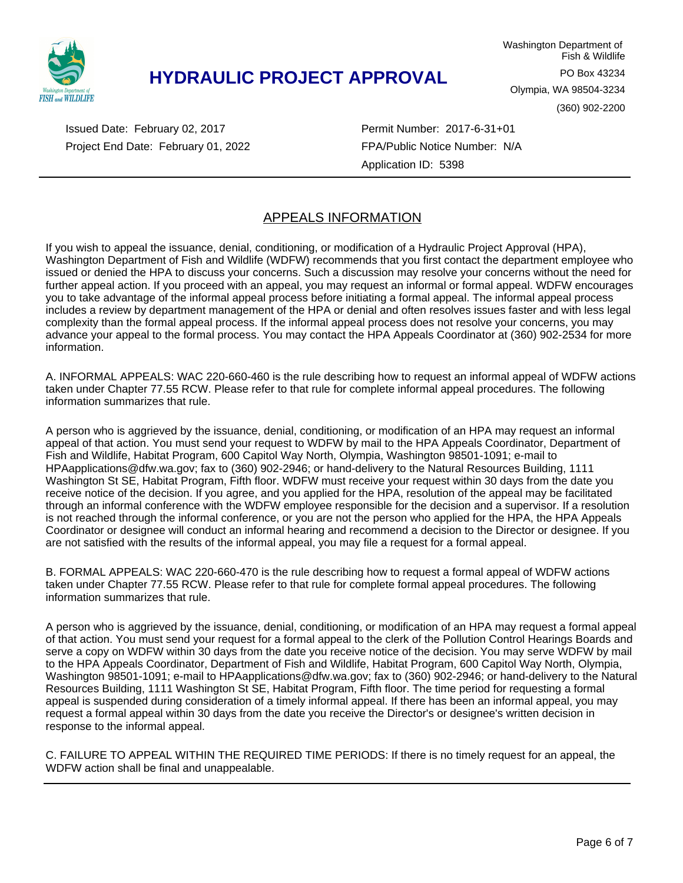

Washington Department of Fish & Wildlife PO Box 43234 Olympia, WA 98504-3234 (360) 902-2200

Project End Date: February 01, 2022 Issued Date: February 02, 2017

Permit Number: 2017-6-31+01 FPA/Public Notice Number: N/A Application ID: 5398

### APPEALS INFORMATION

If you wish to appeal the issuance, denial, conditioning, or modification of a Hydraulic Project Approval (HPA), Washington Department of Fish and Wildlife (WDFW) recommends that you first contact the department employee who issued or denied the HPA to discuss your concerns. Such a discussion may resolve your concerns without the need for further appeal action. If you proceed with an appeal, you may request an informal or formal appeal. WDFW encourages you to take advantage of the informal appeal process before initiating a formal appeal. The informal appeal process includes a review by department management of the HPA or denial and often resolves issues faster and with less legal complexity than the formal appeal process. If the informal appeal process does not resolve your concerns, you may advance your appeal to the formal process. You may contact the HPA Appeals Coordinator at (360) 902-2534 for more information.

A. INFORMAL APPEALS: WAC 220-660-460 is the rule describing how to request an informal appeal of WDFW actions taken under Chapter 77.55 RCW. Please refer to that rule for complete informal appeal procedures. The following information summarizes that rule.

A person who is aggrieved by the issuance, denial, conditioning, or modification of an HPA may request an informal appeal of that action. You must send your request to WDFW by mail to the HPA Appeals Coordinator, Department of Fish and Wildlife, Habitat Program, 600 Capitol Way North, Olympia, Washington 98501-1091; e-mail to HPAapplications@dfw.wa.gov; fax to (360) 902-2946; or hand-delivery to the Natural Resources Building, 1111 Washington St SE, Habitat Program, Fifth floor. WDFW must receive your request within 30 days from the date you receive notice of the decision. If you agree, and you applied for the HPA, resolution of the appeal may be facilitated through an informal conference with the WDFW employee responsible for the decision and a supervisor. If a resolution is not reached through the informal conference, or you are not the person who applied for the HPA, the HPA Appeals Coordinator or designee will conduct an informal hearing and recommend a decision to the Director or designee. If you are not satisfied with the results of the informal appeal, you may file a request for a formal appeal.

B. FORMAL APPEALS: WAC 220-660-470 is the rule describing how to request a formal appeal of WDFW actions taken under Chapter 77.55 RCW. Please refer to that rule for complete formal appeal procedures. The following information summarizes that rule.

A person who is aggrieved by the issuance, denial, conditioning, or modification of an HPA may request a formal appeal of that action. You must send your request for a formal appeal to the clerk of the Pollution Control Hearings Boards and serve a copy on WDFW within 30 days from the date you receive notice of the decision. You may serve WDFW by mail to the HPA Appeals Coordinator, Department of Fish and Wildlife, Habitat Program, 600 Capitol Way North, Olympia, Washington 98501-1091; e-mail to HPAapplications@dfw.wa.gov; fax to (360) 902-2946; or hand-delivery to the Natural Resources Building, 1111 Washington St SE, Habitat Program, Fifth floor. The time period for requesting a formal appeal is suspended during consideration of a timely informal appeal. If there has been an informal appeal, you may request a formal appeal within 30 days from the date you receive the Director's or designee's written decision in response to the informal appeal.

C. FAILURE TO APPEAL WITHIN THE REQUIRED TIME PERIODS: If there is no timely request for an appeal, the WDFW action shall be final and unappealable.